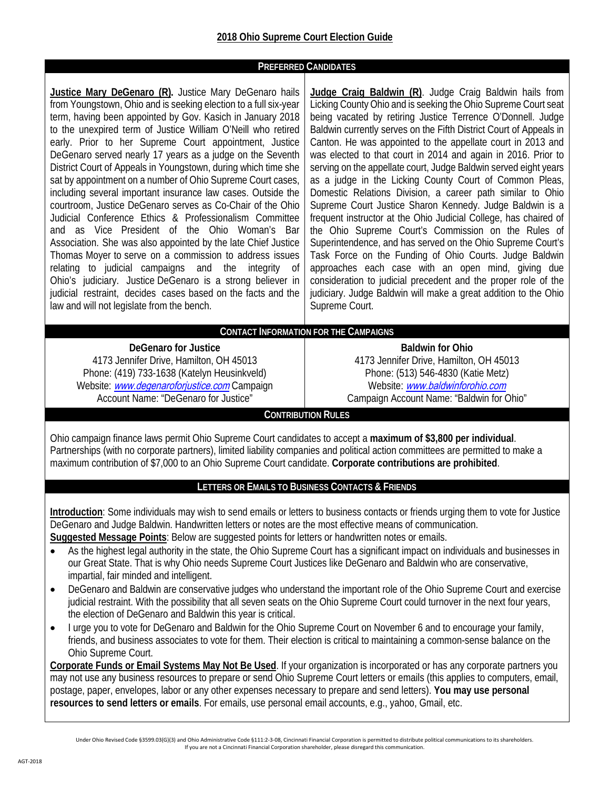#### **PREFERRED CANDIDATES**

**Justice Mary DeGenaro (R).** Justice Mary DeGenaro hails from Youngstown, Ohio and is seeking election to a full six-year term, having been appointed by Gov. Kasich in January 2018 to the unexpired term of Justice William O'Neill who retired early. Prior to her Supreme Court appointment, Justice DeGenaro served nearly 17 years as a judge on the Seventh District Court of Appeals in Youngstown, during which time she sat by appointment on a number of Ohio Supreme Court cases, including several important insurance law cases. Outside the courtroom, Justice DeGenaro serves as Co-Chair of the Ohio Judicial Conference Ethics & Professionalism Committee and as Vice President of the Ohio Woman's Bar Association. She was also appointed by the late Chief Justice Thomas Moyer to serve on a commission to address issues relating to judicial campaigns and the integrity of Ohio's judiciary. Justice DeGenaro is a strong believer in judicial restraint, decides cases based on the facts and the law and will not legislate from the bench.

**Judge Craig Baldwin (R)**. Judge Craig Baldwin hails from Licking County Ohio and is seeking the Ohio Supreme Court seat being vacated by retiring Justice Terrence O'Donnell. Judge Baldwin currently serves on the Fifth District Court of Appeals in Canton. He was appointed to the appellate court in 2013 and was elected to that court in 2014 and again in 2016. Prior to serving on the appellate court, Judge Baldwin served eight years as a judge in the Licking County Court of Common Pleas, Domestic Relations Division, a career path similar to Ohio Supreme Court Justice Sharon Kennedy. Judge Baldwin is a frequent instructor at the Ohio Judicial College, has chaired of the Ohio Supreme Court's Commission on the Rules of Superintendence, and has served on the Ohio Supreme Court's Task Force on the Funding of Ohio Courts. Judge Baldwin approaches each case with an open mind, giving due consideration to judicial precedent and the proper role of the judiciary. Judge Baldwin will make a great addition to the Ohio Supreme Court.

#### **CONTACT INFORMATION FOR THE CAMPAIGNS**

**DeGenaro for Justice** 4173 Jennifer Drive, Hamilton, OH 45013 Phone: (419) 733-1638 (Katelyn Heusinkveld) Website: ww[w.degenaroforjustice.com](www.degenaroforjustice.com) Campaign Account Name: "DeGenaro for Justice"

**Baldwin for Ohio** 4173 Jennifer Drive, Hamilton, OH 45013 Phone: (513) 546-4830 (Katie Metz) Website: <www.baldwinforohio.com> Campaign Account Name: "Baldwin for Ohio"

#### **CONTRIBUTION RULES**

Ohio campaign finance laws permit Ohio Supreme Court candidates to accept a **maximum of \$3,800 per individual**. Partnerships (with no corporate partners), limited liability companies and political action committees are permitted to make a maximum contribution of \$7,000 to an Ohio Supreme Court candidate. **Corporate contributions are prohibited**.

#### **LETTERS OR EMAILS TO BUSINESS CONTACTS & FRIENDS**

**Introduction**: Some individuals may wish to send emails or letters to business contacts or friends urging them to vote for Justice DeGenaro and Judge Baldwin. Handwritten letters or notes are the most effective means of communication. **Suggested Message Points**: Below are suggested points for letters or handwritten notes or emails.

- As the highest legal authority in the state, the Ohio Supreme Court has a significant impact on individuals and businesses in our Great State. That is why Ohio needs Supreme Court Justices like DeGenaro and Baldwin who are conservative, impartial, fair minded and intelligent.
- DeGenaro and Baldwin are conservative judges who understand the important role of the Ohio Supreme Court and exercise judicial restraint. With the possibility that all seven seats on the Ohio Supreme Court could turnover in the next four years, the election of DeGenaro and Baldwin this year is critical.
- I urge you to vote for DeGenaro and Baldwin for the Ohio Supreme Court on November 6 and to encourage your family, friends, and business associates to vote for them. Their election is critical to maintaining a common-sense balance on the Ohio Supreme Court.

**Corporate Funds or Email Systems May Not Be Used**. If your organization is incorporated or has any corporate partners you may not use any business resources to prepare or send Ohio Supreme Court letters or emails (this applies to computers, email, postage, paper, envelopes, labor or any other expenses necessary to prepare and send letters). **You may use personal resources to send letters or emails**. For emails, use personal email accounts, e.g., yahoo, Gmail, etc.

Under Ohio Revised Code §3599.03(G)(3) and Ohio Administrative Code §111:2-3-08, Cincinnati Financial Corporation is permitted to distribute political communications to its shareholders. If you are not a Cincinnati Financial Corporation shareholder, please disregard this communication.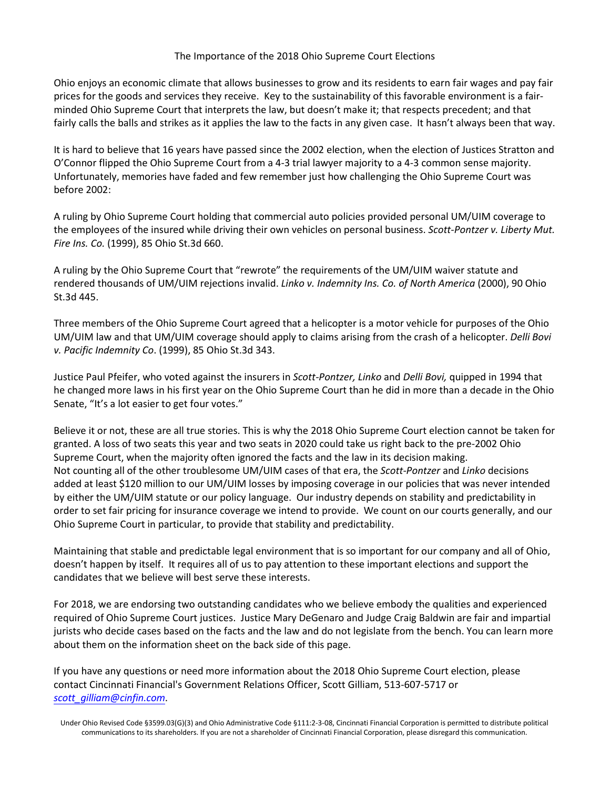#### The Importance of the 2018 Ohio Supreme Court Elections

Ohio enjoys an economic climate that allows businesses to grow and its residents to earn fair wages and pay fair prices for the goods and services they receive. Key to the sustainability of this favorable environment is a fairminded Ohio Supreme Court that interprets the law, but doesn't make it; that respects precedent; and that fairly calls the balls and strikes as it applies the law to the facts in any given case. It hasn't always been that way.

It is hard to believe that 16 years have passed since the 2002 election, when the election of Justices Stratton and O'Connor flipped the Ohio Supreme Court from a 4-3 trial lawyer majority to a 4-3 common sense majority. Unfortunately, memories have faded and few remember just how challenging the Ohio Supreme Court was before 2002:

A ruling by Ohio Supreme Court holding that commercial auto policies provided personal UM/UIM coverage to the employees of the insured while driving their own vehicles on personal business. *Scott-Pontzer v. Liberty Mut. Fire Ins. Co.* (1999), 85 Ohio St.3d 660.

A ruling by the Ohio Supreme Court that "rewrote" the requirements of the UM/UIM waiver statute and rendered thousands of UM/UIM rejections invalid. *Linko v. Indemnity Ins. Co. of North America* (2000), 90 Ohio St.3d 445.

Three members of the Ohio Supreme Court agreed that a helicopter is a motor vehicle for purposes of the Ohio UM/UIM law and that UM/UIM coverage should apply to claims arising from the crash of a helicopter. *Delli Bovi v. Pacific Indemnity Co*. (1999), 85 Ohio St.3d 343.

Justice Paul Pfeifer, who voted against the insurers in *Scott-Pontzer, Linko* and *Delli Bovi,* quipped in 1994 that he changed more laws in his first year on the Ohio Supreme Court than he did in more than a decade in the Ohio Senate, "It's a lot easier to get four votes."

Believe it or not, these are all true stories. This is why the 2018 Ohio Supreme Court election cannot be taken for granted. A loss of two seats this year and two seats in 2020 could take us right back to the pre-2002 Ohio Supreme Court, when the majority often ignored the facts and the law in its decision making. Not counting all of the other troublesome UM/UIM cases of that era, the *Scott-Pontzer* and *Linko* decisions added at least \$120 million to our UM/UIM losses by imposing coverage in our policies that was never intended by either the UM/UIM statute or our policy language. Our industry depends on stability and predictability in order to set fair pricing for insurance coverage we intend to provide. We count on our courts generally, and our Ohio Supreme Court in particular, to provide that stability and predictability.

Maintaining that stable and predictable legal environment that is so important for our company and all of Ohio, doesn't happen by itself. It requires all of us to pay attention to these important elections and support the candidates that we believe will best serve these interests.

For 2018, we are endorsing two outstanding candidates who we believe embody the qualities and experienced required of Ohio Supreme Court justices. Justice Mary DeGenaro and Judge Craig Baldwin are fair and impartial jurists who decide cases based on the facts and the law and do not legislate from the bench. You can learn more about them on the information sheet on the back side of this page.

If you have any questions or need more information about the 2018 Ohio Supreme Court election, please contact Cincinnati Financial's Government Relations Officer, Scott Gilliam, 513-607-5717 or *[scott\\_gilliam@cinfin.com](mailto:scott_gilliam@cinfin.com)*.

Under Ohio Revised Code §3599.03(G)(3) and Ohio Administrative Code §111:2-3-08, Cincinnati Financial Corporation is permitted to distribute political communications to its shareholders. If you are not a shareholder of Cincinnati Financial Corporation, please disregard this communication.